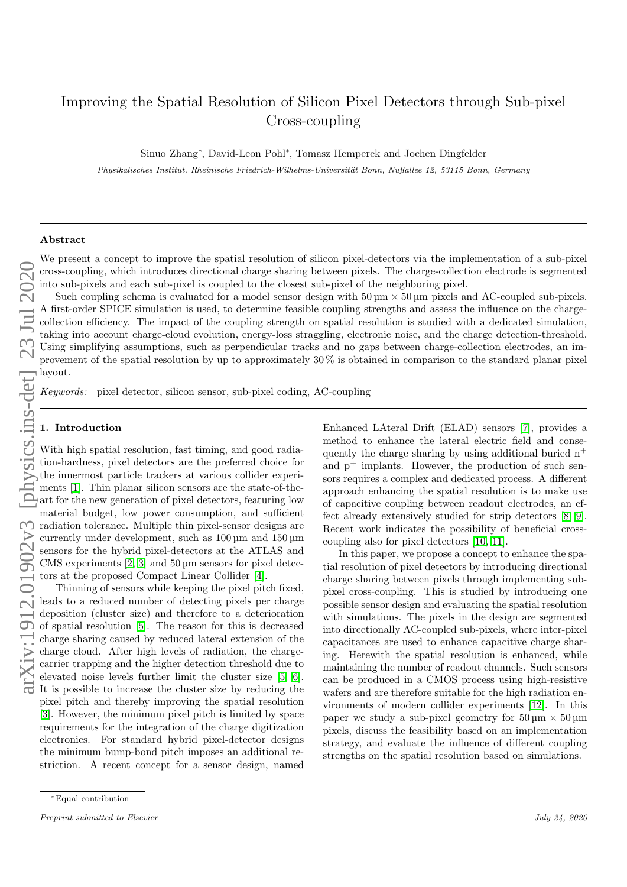# Improving the Spatial Resolution of Silicon Pixel Detectors through Sub-pixel Cross-coupling

Sinuo Zhang<sup>∗</sup> , David-Leon Pohl<sup>∗</sup> , Tomasz Hemperek and Jochen Dingfelder

Physikalisches Institut, Rheinische Friedrich-Wilhelms-Universität Bonn, Nußallee 12, 53115 Bonn, Germany

#### Abstract

We present a concept to improve the spatial resolution of silicon pixel-detectors via the implementation of a sub-pixel cross-coupling, which introduces directional charge sharing between pixels. The charge-collection electrode is segmented into sub-pixels and each sub-pixel is coupled to the closest sub-pixel of the neighboring pixel.

arXiv:1912.01902v3 [physics.ins-det] 23 Jul 2020

Such coupling schema is evaluated for a model sensor design with  $50 \,\mu m \times 50 \,\mu m$  pixels and AC-coupled sub-pixels. A first-order SPICE simulation is used, to determine feasible coupling strengths and assess the influence on the chargecollection efficiency. The impact of the coupling strength on spatial resolution is studied with a dedicated simulation, taking into account charge-cloud evolution, energy-loss straggling, electronic noise, and the charge detection-threshold. Using simplifying assumptions, such as perpendicular tracks and no gaps between charge-collection electrodes, an improvement of the spatial resolution by up to approximately 30 % is obtained in comparison to the standard planar pixel layout.

Keywords: pixel detector, silicon sensor, sub-pixel coding, AC-coupling

#### 1. Introduction

With high spatial resolution, fast timing, and good radiation-hardness, pixel detectors are the preferred choice for the innermost particle trackers at various collider experiments [\[1\]](#page-5-0). Thin planar silicon sensors are the state-of-theart for the new generation of pixel detectors, featuring low material budget, low power consumption, and sufficient radiation tolerance. Multiple thin pixel-sensor designs are currently under development, such as 100 µm and 150 µm sensors for the hybrid pixel-detectors at the ATLAS and CMS experiments  $[2, 3]$  $[2, 3]$  and  $50 \,\mu$ m sensors for pixel detectors at the proposed Compact Linear Collider [\[4\]](#page-5-3).

Thinning of sensors while keeping the pixel pitch fixed, leads to a reduced number of detecting pixels per charge deposition (cluster size) and therefore to a deterioration of spatial resolution [\[5\]](#page-5-4). The reason for this is decreased charge sharing caused by reduced lateral extension of the charge cloud. After high levels of radiation, the chargecarrier trapping and the higher detection threshold due to elevated noise levels further limit the cluster size [\[5,](#page-5-4) [6\]](#page-5-5). It is possible to increase the cluster size by reducing the pixel pitch and thereby improving the spatial resolution [\[3\]](#page-5-2). However, the minimum pixel pitch is limited by space requirements for the integration of the charge digitization electronics. For standard hybrid pixel-detector designs the minimum bump-bond pitch imposes an additional restriction. A recent concept for a sensor design, named Enhanced LAteral Drift (ELAD) sensors [\[7\]](#page-5-6), provides a method to enhance the lateral electric field and consequently the charge sharing by using additional buried  $n^+$ and  $p^+$  implants. However, the production of such sensors requires a complex and dedicated process. A different approach enhancing the spatial resolution is to make use of capacitive coupling between readout electrodes, an effect already extensively studied for strip detectors [\[8,](#page-5-7) [9\]](#page-5-8). Recent work indicates the possibility of beneficial crosscoupling also for pixel detectors [\[10,](#page-5-9) [11\]](#page-5-10).

In this paper, we propose a concept to enhance the spatial resolution of pixel detectors by introducing directional charge sharing between pixels through implementing subpixel cross-coupling. This is studied by introducing one possible sensor design and evaluating the spatial resolution with simulations. The pixels in the design are segmented into directionally AC-coupled sub-pixels, where inter-pixel capacitances are used to enhance capacitive charge sharing. Herewith the spatial resolution is enhanced, while maintaining the number of readout channels. Such sensors can be produced in a CMOS process using high-resistive wafers and are therefore suitable for the high radiation environments of modern collider experiments [\[12\]](#page-5-11). In this paper we study a sub-pixel geometry for  $50 \,\mathrm{\upmu m} \times 50 \,\mathrm{\upmu m}$ pixels, discuss the feasibility based on an implementation strategy, and evaluate the influence of different coupling strengths on the spatial resolution based on simulations.

<sup>∗</sup>Equal contribution

Preprint submitted to Elsevier Submitted to Elsevier Submitted to Elsevier Submitted to Elsevier Submitted to  $24$ ,  $2020$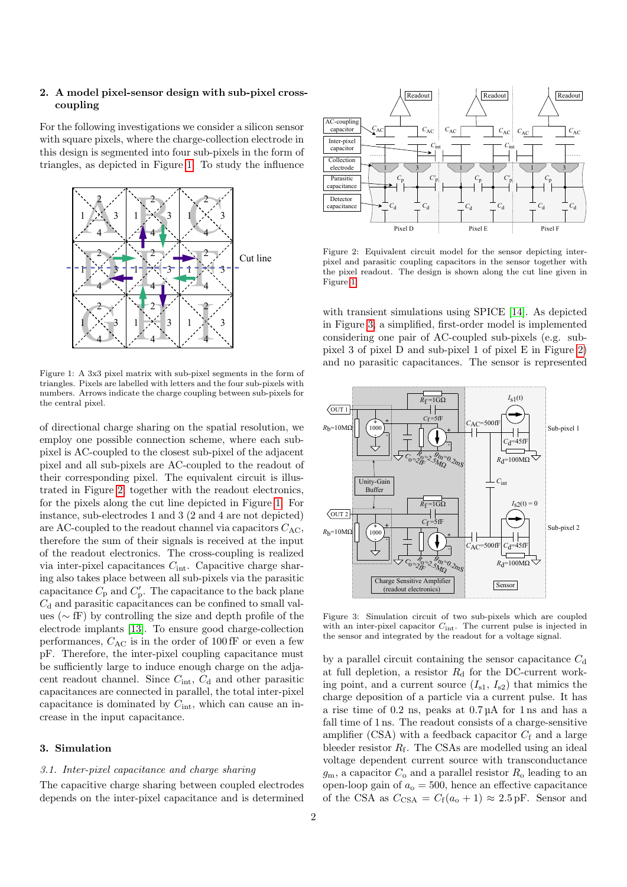## 2. A model pixel-sensor design with sub-pixel crosscoupling

For the following investigations we consider a silicon sensor with square pixels, where the charge-collection electrode in this design is segmented into four sub-pixels in the form of triangles, as depicted in Figure [1.](#page-1-0) To study the influence



<span id="page-1-0"></span>Figure 1: A 3x3 pixel matrix with sub-pixel segments in the form of triangles. Pixels are labelled with letters and the four sub-pixels with numbers. Arrows indicate the charge coupling between sub-pixels for the central pixel.

of directional charge sharing on the spatial resolution, we employ one possible connection scheme, where each subpixel is AC-coupled to the closest sub-pixel of the adjacent pixel and all sub-pixels are AC-coupled to the readout of their corresponding pixel. The equivalent circuit is illustrated in Figure [2,](#page-1-1) together with the readout electronics, for the pixels along the cut line depicted in Figure [1.](#page-1-0) For instance, sub-electrodes 1 and 3 (2 and 4 are not depicted) are AC-coupled to the readout channel via capacitors  $C_{AC}$ , therefore the sum of their signals is received at the input of the readout electronics. The cross-coupling is realized via inter-pixel capacitances  $C_{\text{int}}$ . Capacitive charge sharing also takes place between all sub-pixels via the parasitic capacitance  $C_{\rm p}$  and  $C_{\rm p}'$ . The capacitance to the back plane  $C_d$  and parasitic capacitances can be confined to small values (∼ fF) by controlling the size and depth profile of the electrode implants [\[13\]](#page-5-12). To ensure good charge-collection performances,  $C_{AC}$  is in the order of 100 fF or even a few pF. Therefore, the inter-pixel coupling capacitance must be sufficiently large to induce enough charge on the adjacent readout channel. Since  $C_{\rm int},\,C_{\rm d}$  and other parasitic capacitances are connected in parallel, the total inter-pixel capacitance is dominated by  $C_{\text{int}}$ , which can cause an increase in the input capacitance.

## 3. Simulation

## 3.1. Inter-pixel capacitance and charge sharing

The capacitive charge sharing between coupled electrodes depends on the inter-pixel capacitance and is determined



<span id="page-1-1"></span>Figure 2: Equivalent circuit model for the sensor depicting interpixel and parasitic coupling capacitors in the sensor together with the pixel readout. The design is shown along the cut line given in Figure [1.](#page-1-0)

with transient simulations using SPICE [\[14\]](#page-5-13). As depicted in Figure [3,](#page-1-2) a simplified, first-order model is implemented considering one pair of AC-coupled sub-pixels (e.g. subpixel 3 of pixel D and sub-pixel 1 of pixel E in Figure [2\)](#page-1-1) and no parasitic capacitances. The sensor is represented



<span id="page-1-2"></span>Figure 3: Simulation circuit of two sub-pixels which are coupled with an inter-pixel capacitor  $C_{\text{int}}$ . The current pulse is injected in the sensor and integrated by the readout for a voltage signal.

by a parallel circuit containing the sensor capacitance  $C_d$ at full depletion, a resistor  $R_d$  for the DC-current working point, and a current source  $(I_{s1}, I_{s2})$  that mimics the charge deposition of a particle via a current pulse. It has a rise time of 0.2 ns, peaks at 0.7 µA for 1 ns and has a fall time of 1 ns. The readout consists of a charge-sensitive amplifier (CSA) with a feedback capacitor  $C_f$  and a large bleeder resistor  $R_f$ . The CSAs are modelled using an ideal voltage dependent current source with transconductance  $g<sub>m</sub>$ , a capacitor  $C<sub>o</sub>$  and a parallel resistor  $R<sub>o</sub>$  leading to an open-loop gain of  $a_0 = 500$ , hence an effective capacitance of the CSA as  $C_{\text{CSA}} = C_f(a_0 + 1) \approx 2.5 \text{ pF}$ . Sensor and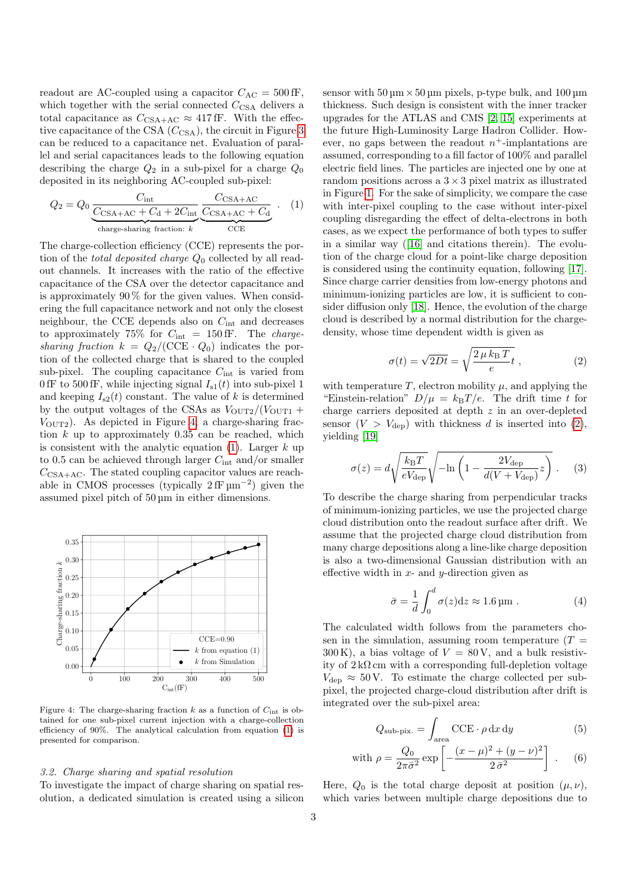readout are AC-coupled using a capacitor  $C_{AC} = 500$  fF, which together with the serial connected  $C_{\text{CSA}}$  delivers a total capacitance as  $C_{\text{CSA+AC}} \approx 417 \,\text{fF}$ . With the effective capacitance of the CSA  $(C_{\rm CSA})$ , the circuit in Figure [3](#page-1-2) can be reduced to a capacitance net. Evaluation of parallel and serial capacitances leads to the following equation describing the charge  $Q_2$  in a sub-pixel for a charge  $Q_0$ deposited in its neighboring AC-coupled sub-pixel:

<span id="page-2-1"></span>
$$
Q_2 = Q_0 \underbrace{\frac{C_{\text{int}}}{C_{\text{CSA}+\text{AC}} + C_{\text{d}} + 2C_{\text{int}}}}_{\text{charge-sharing fraction: } k} \underbrace{\frac{C_{\text{CSA}+\text{AC}}}{C_{\text{CE}} + C_{\text{d}}}}_{\text{CCE}}.
$$
 (1)

The charge-collection efficiency (CCE) represents the portion of the *total deposited charge*  $Q_0$  collected by all readout channels. It increases with the ratio of the effective capacitance of the CSA over the detector capacitance and is approximately  $90\%$  for the given values. When considering the full capacitance network and not only the closest neighbour, the CCE depends also on  $C_{\text{int}}$  and decreases to approximately 75% for  $C_{\text{int}} = 150 \text{ fF}$ . The *charge*sharing fraction  $k = Q_2/(\text{CCE} \cdot Q_0)$  indicates the portion of the collected charge that is shared to the coupled sub-pixel. The coupling capacitance  $C_{\text{int}}$  is varied from 0 fF to 500 fF, while injecting signal  $I_{s1}(t)$  into sub-pixel 1 and keeping  $I_{s2}(t)$  constant. The value of k is determined by the output voltages of the CSAs as  $V_{\text{OUT2}}/(V_{\text{OUT1}} +$  $V_{\text{OUT2}}$ ). As depicted in Figure [4,](#page-2-0) a charge-sharing fraction  $k$  up to approximately 0.35 can be reached, which is consistent with the analytic equation  $(1)$ . Larger k up to 0.5 can be achieved through larger  $C_{\text{int}}$  and/or smaller  $C_{\text{CSA+AC}}$ . The stated coupling capacitor values are reachable in CMOS processes (typically  $2 fF \mu m^{-2}$ ) given the assumed pixel pitch of 50 µm in either dimensions.



<span id="page-2-0"></span>Figure 4: The charge-sharing fraction k as a function of  $C_{\text{int}}$  is obtained for one sub-pixel current injection with a charge-collection efficiency of 90%. The analytical calculation from equation [\(1\)](#page-2-1) is presented for comparison.

#### 3.2. Charge sharing and spatial resolution

To investigate the impact of charge sharing on spatial resolution, a dedicated simulation is created using a silicon

sensor with  $50 \mu m \times 50 \mu m$  pixels, p-type bulk, and  $100 \mu m$ thickness. Such design is consistent with the inner tracker upgrades for the ATLAS and CMS [\[2,](#page-5-1) [15\]](#page-5-14) experiments at the future High-Luminosity Large Hadron Collider. However, no gaps between the readout  $n^+$ -implantations are assumed, corresponding to a fill factor of 100% and parallel electric field lines. The particles are injected one by one at random positions across a  $3 \times 3$  pixel matrix as illustrated in Figure [1.](#page-1-0) For the sake of simplicity, we compare the case with inter-pixel coupling to the case without inter-pixel coupling disregarding the effect of delta-electrons in both cases, as we expect the performance of both types to suffer in a similar way ([\[16\]](#page-5-15) and citations therein). The evolution of the charge cloud for a point-like charge deposition is considered using the continuity equation, following [\[17\]](#page-5-16). Since charge carrier densities from low-energy photons and minimum-ionizing particles are low, it is sufficient to consider diffusion only [\[18\]](#page-5-17). Hence, the evolution of the charge cloud is described by a normal distribution for the chargedensity, whose time dependent width is given as

<span id="page-2-2"></span>
$$
\sigma(t) = \sqrt{2Dt} = \sqrt{\frac{2\,\mu\,k_{\rm B}\,T}{e}}\,,\tag{2}
$$

with temperature  $T$ , electron mobility  $\mu$ , and applying the "Einstein-relation"  $D/\mu = k_B T/e$ . The drift time t for charge carriers deposited at depth z in an over-depleted sensor  $(V > V_{\text{dep}})$  with thickness d is inserted into [\(2\)](#page-2-2), yielding [\[19\]](#page-5-18)

$$
\sigma(z) = d \sqrt{\frac{k_{\rm B}T}{eV_{\rm dep}}} \sqrt{-\ln\left(1 - \frac{2V_{\rm dep}}{d(V + V_{\rm dep})}z\right)} . \quad (3)
$$

To describe the charge sharing from perpendicular tracks of minimum-ionizing particles, we use the projected charge cloud distribution onto the readout surface after drift. We assume that the projected charge cloud distribution from many charge depositions along a line-like charge deposition is also a two-dimensional Gaussian distribution with an effective width in  $x$ - and  $y$ -direction given as

$$
\bar{\sigma} = \frac{1}{d} \int_0^d \sigma(z) dz \approx 1.6 \,\text{\mu m} \,. \tag{4}
$$

The calculated width follows from the parameters chosen in the simulation, assuming room temperature  $(T =$  $300 \text{ K}$ , a bias voltage of  $V = 80 \text{ V}$ , and a bulk resistivity of  $2 \, \mathrm{k} \Omega \, \mathrm{cm}$  with a corresponding full-depletion voltage  $V_{\text{dep}} \approx 50 \,\text{V}$ . To estimate the charge collected per subpixel, the projected charge-cloud distribution after drift is integrated over the sub-pixel area:

$$
Q_{\text{sub-pix.}} = \int_{\text{area}} \text{CCE} \cdot \rho \, dx \, dy \tag{5}
$$

with 
$$
\rho = \frac{Q_0}{2\pi\bar{\sigma}^2} \exp\left[-\frac{(x-\mu)^2 + (y-\nu)^2}{2\bar{\sigma}^2}\right].
$$
 (6)

Here,  $Q_0$  is the total charge deposit at position  $(\mu, \nu)$ , which varies between multiple charge depositions due to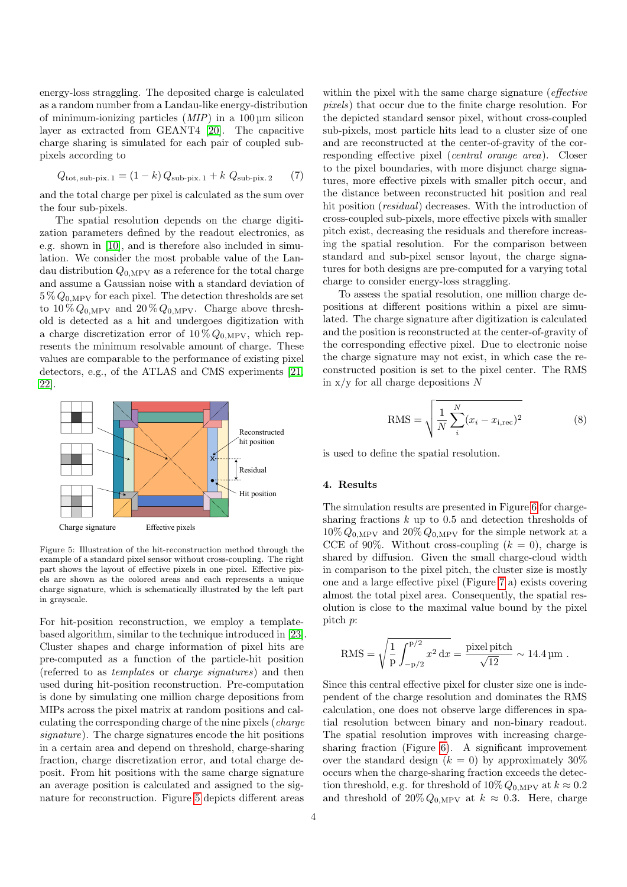energy-loss straggling. The deposited charge is calculated as a random number from a Landau-like energy-distribution of minimum-ionizing particles  $(MIP)$  in a 100 µm silicon layer as extracted from GEANT4 [\[20\]](#page-5-19). The capacitive charge sharing is simulated for each pair of coupled subpixels according to

$$
Q_{\text{tot, sub-pix. 1}} = (1 - k) Q_{\text{sub-pix. 1}} + k Q_{\text{sub-pix. 2}} \tag{7}
$$

and the total charge per pixel is calculated as the sum over the four sub-pixels.

The spatial resolution depends on the charge digitization parameters defined by the readout electronics, as e.g. shown in [\[10\]](#page-5-9), and is therefore also included in simulation. We consider the most probable value of the Landau distribution  $Q_{0,\text{MPV}}$  as a reference for the total charge and assume a Gaussian noise with a standard deviation of  $5\% Q_{0,\text{MPV}}$  for each pixel. The detection thresholds are set to  $10\% Q_{0,\text{MPV}}$  and  $20\% Q_{0,\text{MPV}}$ . Charge above threshold is detected as a hit and undergoes digitization with a charge discretization error of  $10\% Q_{0,\text{MPV}}$ , which represents the minimum resolvable amount of charge. These values are comparable to the performance of existing pixel detectors, e.g., of the ATLAS and CMS experiments [\[21,](#page-5-20) [22\]](#page-5-21).



<span id="page-3-0"></span>Figure 5: Illustration of the hit-reconstruction method through the example of a standard pixel sensor without cross-coupling. The right part shows the layout of effective pixels in one pixel. Effective pixels are shown as the colored areas and each represents a unique charge signature, which is schematically illustrated by the left part in grayscale.

For hit-position reconstruction, we employ a templatebased algorithm, similar to the technique introduced in [\[23\]](#page-5-22). Cluster shapes and charge information of pixel hits are pre-computed as a function of the particle-hit position (referred to as templates or charge signatures) and then used during hit-position reconstruction. Pre-computation is done by simulating one million charge depositions from MIPs across the pixel matrix at random positions and calculating the corresponding charge of the nine pixels (charge signature). The charge signatures encode the hit positions in a certain area and depend on threshold, charge-sharing fraction, charge discretization error, and total charge deposit. From hit positions with the same charge signature an average position is calculated and assigned to the signature for reconstruction. Figure [5](#page-3-0) depicts different areas

within the pixel with the same charge signature (*effective* pixels) that occur due to the finite charge resolution. For the depicted standard sensor pixel, without cross-coupled sub-pixels, most particle hits lead to a cluster size of one and are reconstructed at the center-of-gravity of the corresponding effective pixel (central orange area). Closer to the pixel boundaries, with more disjunct charge signatures, more effective pixels with smaller pitch occur, and the distance between reconstructed hit position and real hit position *(residual)* decreases. With the introduction of cross-coupled sub-pixels, more effective pixels with smaller pitch exist, decreasing the residuals and therefore increasing the spatial resolution. For the comparison between standard and sub-pixel sensor layout, the charge signatures for both designs are pre-computed for a varying total charge to consider energy-loss straggling.

To assess the spatial resolution, one million charge depositions at different positions within a pixel are simulated. The charge signature after digitization is calculated and the position is reconstructed at the center-of-gravity of the corresponding effective pixel. Due to electronic noise the charge signature may not exist, in which case the reconstructed position is set to the pixel center. The RMS in  $x/y$  for all charge depositions N

$$
RMS = \sqrt{\frac{1}{N} \sum_{i}^{N} (x_i - x_{i, \text{rec}})^2}
$$
 (8)

is used to define the spatial resolution.

# 4. Results

The simulation results are presented in Figure [6](#page-4-0) for chargesharing fractions  $k$  up to 0.5 and detection thresholds of  $10\% Q_{0,\text{MPV}}$  and  $20\% Q_{0,\text{MPV}}$  for the simple network at a CCE of 90%. Without cross-coupling  $(k = 0)$ , charge is shared by diffusion. Given the small charge-cloud width in comparison to the pixel pitch, the cluster size is mostly one and a large effective pixel (Figure [7](#page-4-1) a) exists covering almost the total pixel area. Consequently, the spatial resolution is close to the maximal value bound by the pixel pitch p:

RMS = 
$$
\sqrt{\frac{1}{p} \int_{-p/2}^{p/2} x^2 dx}
$$
 =  $\frac{\text{pixel pitch}}{\sqrt{12}} \sim 14.4 \,\text{µm}$ .

Since this central effective pixel for cluster size one is independent of the charge resolution and dominates the RMS calculation, one does not observe large differences in spatial resolution between binary and non-binary readout. The spatial resolution improves with increasing chargesharing fraction (Figure [6\)](#page-4-0). A significant improvement over the standard design  $(k = 0)$  by approximately 30% occurs when the charge-sharing fraction exceeds the detection threshold, e.g. for threshold of  $10\% Q_{0,\text{MPV}}$  at  $k \approx 0.2$ and threshold of  $20\% Q_{0,\text{MPV}}$  at  $k \approx 0.3$ . Here, charge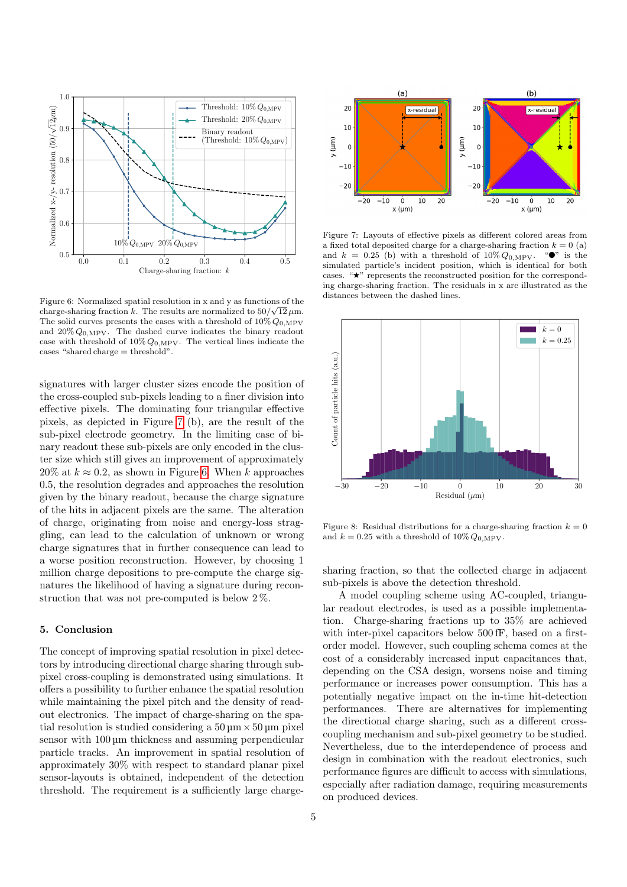

<span id="page-4-0"></span>Figure 6: Normalized spatial resolution in x and y as functions of the charge-sharing fraction k. The results are normalized to  $50/\sqrt{12 \,\mu m}$ . The solid curves presents the cases with a threshold of  $10\% Q_{0,\text{MPV}}$ and  $20\% Q_{0,\text{MPV}}$ . The dashed curve indicates the binary readout case with threshold of  $10\% Q_{0,\text{MPV}}$ . The vertical lines indicate the cases "shared charge = threshold".

signatures with larger cluster sizes encode the position of the cross-coupled sub-pixels leading to a finer division into effective pixels. The dominating four triangular effective pixels, as depicted in Figure [7](#page-4-1) (b), are the result of the sub-pixel electrode geometry. In the limiting case of binary readout these sub-pixels are only encoded in the cluster size which still gives an improvement of approximately 20% at  $k \approx 0.2$ , as shown in Figure [6.](#page-4-0) When k approaches 0.5, the resolution degrades and approaches the resolution given by the binary readout, because the charge signature of the hits in adjacent pixels are the same. The alteration of charge, originating from noise and energy-loss straggling, can lead to the calculation of unknown or wrong charge signatures that in further consequence can lead to a worse position reconstruction. However, by choosing 1 million charge depositions to pre-compute the charge signatures the likelihood of having a signature during reconstruction that was not pre-computed is below 2 %.

# 5. Conclusion

The concept of improving spatial resolution in pixel detectors by introducing directional charge sharing through subpixel cross-coupling is demonstrated using simulations. It offers a possibility to further enhance the spatial resolution while maintaining the pixel pitch and the density of readout electronics. The impact of charge-sharing on the spatial resolution is studied considering a  $50 \mu m \times 50 \mu m$  pixel sensor with  $100 \mu m$  thickness and assuming perpendicular particle tracks. An improvement in spatial resolution of approximately 30% with respect to standard planar pixel sensor-layouts is obtained, independent of the detection threshold. The requirement is a sufficiently large charge-



<span id="page-4-1"></span>Figure 7: Layouts of effective pixels as different colored areas from a fixed total deposited charge for a charge-sharing fraction  $k = 0$  (a) and  $k = 0.25$  (b) with a threshold of  $10\% Q_{0,\text{MPV}}$ . " $\bullet$ " is the simulated particle's incident position, which is identical for both cases. "★" represents the reconstructed position for the corresponding charge-sharing fraction. The residuals in x are illustrated as the distances between the dashed lines.



Figure 8: Residual distributions for a charge-sharing fraction  $k = 0$ and  $k = 0.25$  with a threshold of  $10\% Q_{0.\text{MPV}}$ .

sharing fraction, so that the collected charge in adjacent sub-pixels is above the detection threshold.

A model coupling scheme using AC-coupled, triangular readout electrodes, is used as a possible implementation. Charge-sharing fractions up to 35% are achieved with inter-pixel capacitors below 500 fF, based on a firstorder model. However, such coupling schema comes at the cost of a considerably increased input capacitances that, depending on the CSA design, worsens noise and timing performance or increases power consumption. This has a potentially negative impact on the in-time hit-detection performances. There are alternatives for implementing the directional charge sharing, such as a different crosscoupling mechanism and sub-pixel geometry to be studied. Nevertheless, due to the interdependence of process and design in combination with the readout electronics, such performance figures are difficult to access with simulations, especially after radiation damage, requiring measurements on produced devices.